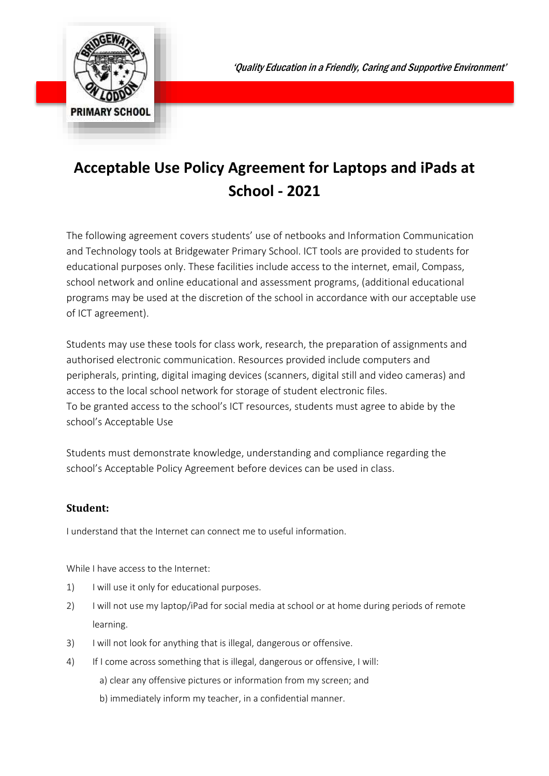

## **Acceptable Use Policy Agreement for Laptops and iPads at School - 2021**

The following agreement covers students' use of netbooks and Information Communication and Technology tools at Bridgewater Primary School. ICT tools are provided to students for educational purposes only. These facilities include access to the internet, email, Compass, school network and online educational and assessment programs, (additional educational programs may be used at the discretion of the school in accordance with our acceptable use of ICT agreement).

Students may use these tools for class work, research, the preparation of assignments and authorised electronic communication. Resources provided include computers and peripherals, printing, digital imaging devices (scanners, digital still and video cameras) and access to the local school network for storage of student electronic files. To be granted access to the school's ICT resources, students must agree to abide by the school's Acceptable Use

Students must demonstrate knowledge, understanding and compliance regarding the school's Acceptable Policy Agreement before devices can be used in class.

## **Student:**

I understand that the Internet can connect me to useful information.

While I have access to the Internet:

- 1) I will use it only for educational purposes.
- 2) I will not use my laptop/iPad for social media at school or at home during periods of remote learning.
- 3) I will not look for anything that is illegal, dangerous or offensive.
- 4) If I come across something that is illegal, dangerous or offensive, I will:
	- a) clear any offensive pictures or information from my screen; and
	- b) immediately inform my teacher, in a confidential manner.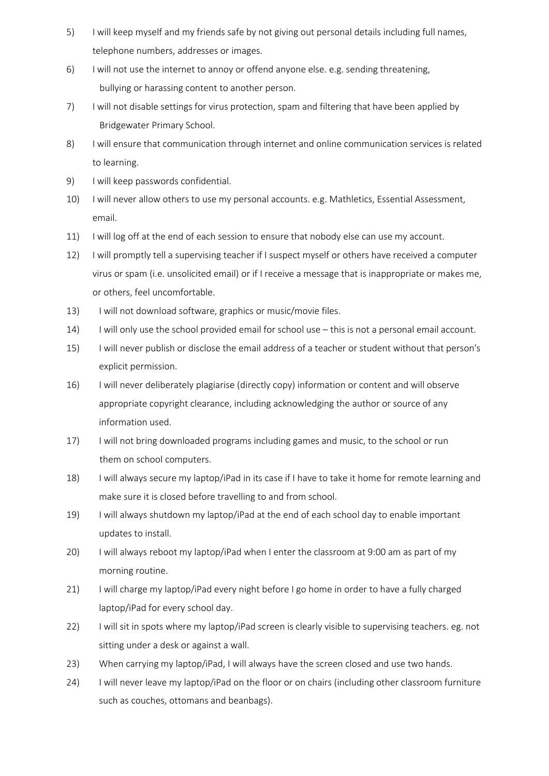- 5) I will keep myself and my friends safe by not giving out personal details including full names, telephone numbers, addresses or images.
- 6) I will not use the internet to annoy or offend anyone else. e.g. sending threatening, bullying or harassing content to another person.
- 7) I will not disable settings for virus protection, spam and filtering that have been applied by Bridgewater Primary School.
- 8) I will ensure that communication through internet and online communication services is related to learning.
- 9) I will keep passwords confidential.
- 10) I will never allow others to use my personal accounts. e.g. Mathletics, Essential Assessment, email.
- 11) I will log off at the end of each session to ensure that nobody else can use my account.
- 12) I will promptly tell a supervising teacher if I suspect myself or others have received a computer virus or spam (i.e. unsolicited email) or if I receive a message that is inappropriate or makes me, or others, feel uncomfortable.
- 13) I will not download software, graphics or music/movie files.
- 14) I will only use the school provided email for school use this is not a personal email account.
- 15) I will never publish or disclose the email address of a teacher or student without that person's explicit permission.
- 16) I will never deliberately plagiarise (directly copy) information or content and will observe appropriate copyright clearance, including acknowledging the author or source of any information used.
- 17) I will not bring downloaded programs including games and music, to the school or run them on school computers.
- 18) I will always secure my laptop/iPad in its case if I have to take it home for remote learning and make sure it is closed before travelling to and from school.
- 19) I will always shutdown my laptop/iPad at the end of each school day to enable important updates to install.
- 20) I will always reboot my laptop/iPad when I enter the classroom at 9:00 am as part of my morning routine.
- 21) I will charge my laptop/iPad every night before I go home in order to have a fully charged laptop/iPad for every school day.
- 22) I will sit in spots where my laptop/iPad screen is clearly visible to supervising teachers. eg. not sitting under a desk or against a wall.
- 23) When carrying my laptop/iPad, I will always have the screen closed and use two hands.
- 24) I will never leave my laptop/iPad on the floor or on chairs (including other classroom furniture such as couches, ottomans and beanbags).